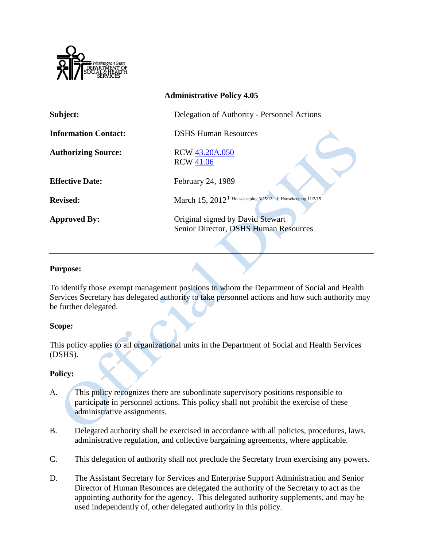

| <b>Administrative Policy 4.05</b> |                                                                           |
|-----------------------------------|---------------------------------------------------------------------------|
| Subject:                          | Delegation of Authority - Personnel Actions                               |
| <b>Information Contact:</b>       | <b>DSHS Human Resources</b>                                               |
| <b>Authorizing Source:</b>        | RCW 43.20A.050<br><b>RCW 41.06</b>                                        |
| <b>Effective Date:</b>            | February 24, 1989                                                         |
| <b>Revised:</b>                   | March $15, 2012^1$ Housekeeping 3/25/13 ii Housekeeping 11/3/15           |
| <b>Approved By:</b>               | Original signed by David Stewart<br>Senior Director, DSHS Human Resources |

## **Purpose:**

To identify those exempt management positions to whom the Department of Social and Health Services Secretary has delegated authority to take personnel actions and how such authority may be further delegated.

## **Scope:**

This policy applies to all organizational units in the Department of Social and Health Services (DSHS).

## **Policy:**

- A. This policy recognizes there are subordinate supervisory positions responsible to participate in personnel actions. This policy shall not prohibit the exercise of these administrative assignments.
- B. Delegated authority shall be exercised in accordance with all policies, procedures, laws, administrative regulation, and collective bargaining agreements, where applicable.
- C. This delegation of authority shall not preclude the Secretary from exercising any powers.
- D. The Assistant Secretary for Services and Enterprise Support Administration and Senior Director of Human Resources are delegated the authority of the Secretary to act as the appointing authority for the agency. This delegated authority supplements, and may be used independently of, other delegated authority in this policy.